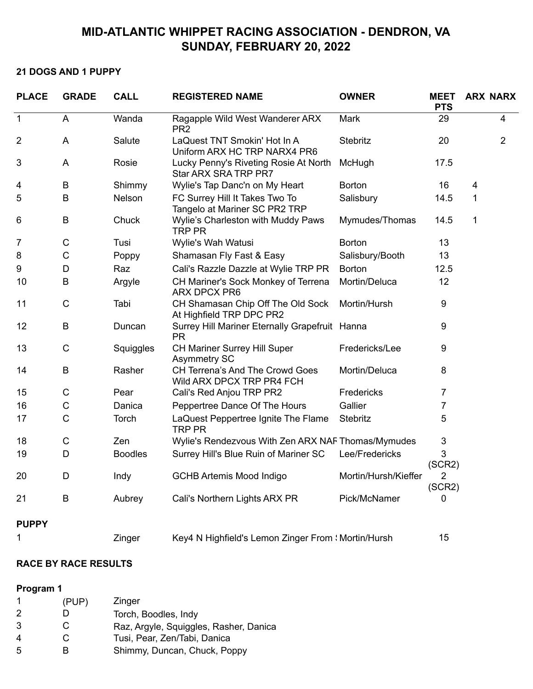# **MID-ATLANTIC WHIPPET RACING ASSOCIATION - DENDRON, VA SUNDAY, FEBRUARY 20, 2022**

### **21 DOGS AND 1 PUPPY**

| <b>PLACE</b>   | <b>GRADE</b> | <b>CALL</b>    | <b>REGISTERED NAME</b>                                          | <b>OWNER</b>         | <b>MEET</b><br><b>PTS</b> |   | <b>ARX NARX</b> |
|----------------|--------------|----------------|-----------------------------------------------------------------|----------------------|---------------------------|---|-----------------|
| $\mathbf 1$    | A            | Wanda          | Ragapple Wild West Wanderer ARX<br>PR <sub>2</sub>              | Mark                 | 29                        |   | $\overline{4}$  |
| $\overline{2}$ | A            | Salute         | LaQuest TNT Smokin' Hot In A<br>Uniform ARX HC TRP NARX4 PR6    | Stebritz             | 20                        |   | $\overline{2}$  |
| 3              | A            | Rosie          | Lucky Penny's Riveting Rosie At North<br>Star ARX SRA TRP PR7   | McHugh               | 17.5                      |   |                 |
| 4              | $\sf B$      | Shimmy         | Wylie's Tap Danc'n on My Heart                                  | <b>Borton</b>        | 16                        | 4 |                 |
| 5              | B            | Nelson         | FC Surrey Hill It Takes Two To<br>Tangelo at Mariner SC PR2 TRP | Salisbury            | 14.5                      | 1 |                 |
| 6              | $\sf B$      | Chuck          | Wylie's Charleston with Muddy Paws<br><b>TRP PR</b>             | Mymudes/Thomas       | 14.5                      | 1 |                 |
| 7              | $\mathsf C$  | Tusi           | Wylie's Wah Watusi                                              | <b>Borton</b>        | 13                        |   |                 |
| 8              | $\mathsf C$  | Poppy          | Shamasan Fly Fast & Easy                                        | Salisbury/Booth      | 13                        |   |                 |
| 9              | D            | Raz            | Cali's Razzle Dazzle at Wylie TRP PR                            | <b>Borton</b>        | 12.5                      |   |                 |
| 10             | $\sf B$      | Argyle         | CH Mariner's Sock Monkey of Terrena<br><b>ARX DPCX PR6</b>      | Mortin/Deluca        | 12                        |   |                 |
| 11             | $\mathsf{C}$ | Tabi           | CH Shamasan Chip Off The Old Sock<br>At Highfield TRP DPC PR2   | Mortin/Hursh         | 9                         |   |                 |
| 12             | B            | Duncan         | Surrey Hill Mariner Eternally Grapefruit Hanna<br><b>PR</b>     |                      | 9                         |   |                 |
| 13             | $\mathsf C$  | Squiggles      | CH Mariner Surrey Hill Super<br><b>Asymmetry SC</b>             | Fredericks/Lee       | 9                         |   |                 |
| 14             | $\sf B$      | Rasher         | CH Terrena's And The Crowd Goes<br>Wild ARX DPCX TRP PR4 FCH    | Mortin/Deluca        | 8                         |   |                 |
| 15             | $\mathsf C$  | Pear           | Cali's Red Anjou TRP PR2                                        | Fredericks           | 7                         |   |                 |
| 16             | $\mathsf C$  | Danica         | Peppertree Dance Of The Hours                                   | Gallier              | 7                         |   |                 |
| 17             | $\mathsf C$  | Torch          | LaQuest Peppertree Ignite The Flame<br><b>TRP PR</b>            | Stebritz             | 5                         |   |                 |
| 18             | $\mathsf C$  | Zen            | Wylie's Rendezvous With Zen ARX NAF Thomas/Mymudes              |                      | $\sqrt{3}$                |   |                 |
| 19             | D            | <b>Boodles</b> | Surrey Hill's Blue Ruin of Mariner SC                           | Lee/Fredericks       | 3<br>(SCR2)               |   |                 |
| 20             | D            | Indy           | <b>GCHB Artemis Mood Indigo</b>                                 | Mortin/Hursh/Kieffer | $\overline{2}$<br>(SCR2)  |   |                 |
| 21             | $\sf B$      | Aubrey         | Cali's Northern Lights ARX PR                                   | Pick/McNamer         | 0                         |   |                 |
| <b>PUPPY</b>   |              |                |                                                                 |                      |                           |   |                 |
| 1              |              | Zinger         | Key4 N Highfield's Lemon Zinger From : Mortin/Hursh             |                      | 15                        |   |                 |

#### **RACE BY RACE RESULTS**

### **Program 1**

|    | (PUP) | Zinger                                 |
|----|-------|----------------------------------------|
| 2  |       | Torch, Boodles, Indy                   |
| 3  | €     | Raz, Argyle, Squiggles, Rasher, Danica |
| 4  | С     | Tusi, Pear, Zen/Tabi, Danica           |
| -5 | R     | Shimmy, Duncan, Chuck, Poppy           |